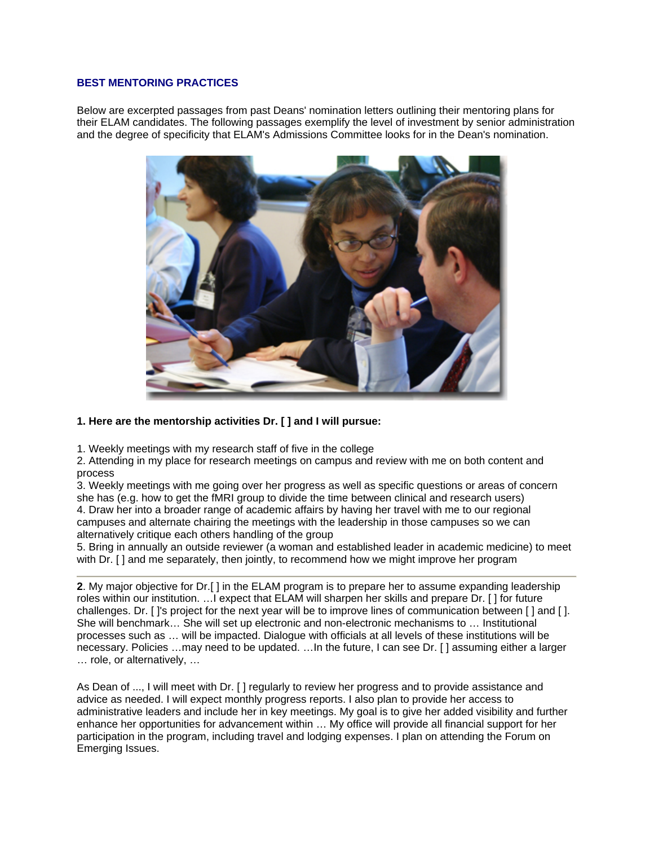## **BEST MENTORING PRACTICES**

Below are excerpted passages from past Deans' nomination letters outlining their mentoring plans for their ELAM candidates. The following passages exemplify the level of investment by senior administration and the degree of specificity that ELAM's Admissions Committee looks for in the Dean's nomination.



## **1. Here are the mentorship activities Dr. [ ] and I will pursue:**

1. Weekly meetings with my research staff of five in the college

2. Attending in my place for research meetings on campus and review with me on both content and process

3. Weekly meetings with me going over her progress as well as specific questions or areas of concern she has (e.g. how to get the fMRI group to divide the time between clinical and research users) 4. Draw her into a broader range of academic affairs by having her travel with me to our regional campuses and alternate chairing the meetings with the leadership in those campuses so we can alternatively critique each others handling of the group

5. Bring in annually an outside reviewer (a woman and established leader in academic medicine) to meet with Dr. [ ] and me separately, then jointly, to recommend how we might improve her program

**2**. My major objective for Dr.[ ] in the ELAM program is to prepare her to assume expanding leadership roles within our institution. …I expect that ELAM will sharpen her skills and prepare Dr. [ ] for future challenges. Dr. [ ]'s project for the next year will be to improve lines of communication between [ ] and [ ]. She will benchmark… She will set up electronic and non-electronic mechanisms to … Institutional processes such as … will be impacted. Dialogue with officials at all levels of these institutions will be necessary. Policies …may need to be updated. …In the future, I can see Dr. [ ] assuming either a larger … role, or alternatively, …

As Dean of ..., I will meet with Dr. [ ] regularly to review her progress and to provide assistance and advice as needed. I will expect monthly progress reports. I also plan to provide her access to administrative leaders and include her in key meetings. My goal is to give her added visibility and further enhance her opportunities for advancement within … My office will provide all financial support for her participation in the program, including travel and lodging expenses. I plan on attending the Forum on Emerging Issues.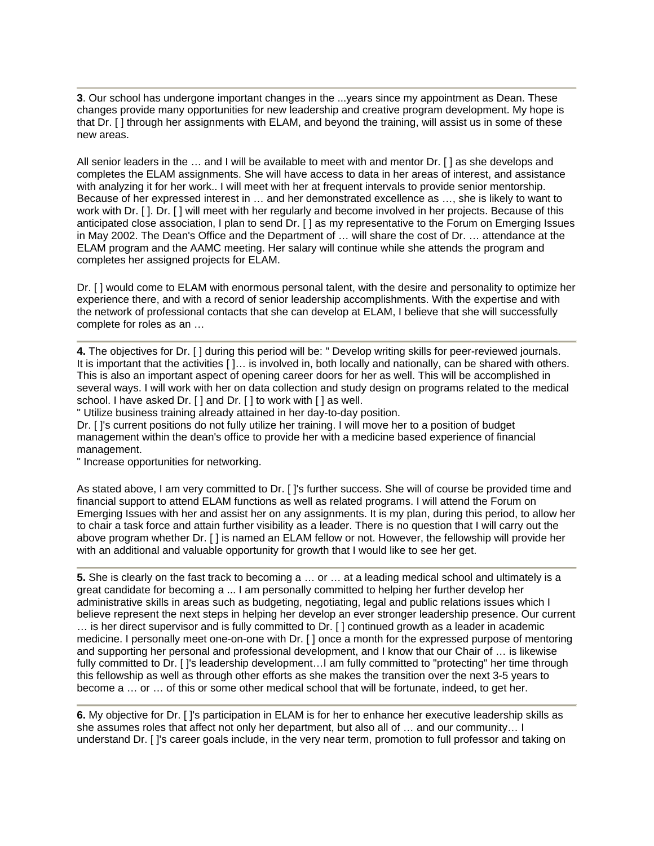**3**. Our school has undergone important changes in the ...years since my appointment as Dean. These changes provide many opportunities for new leadership and creative program development. My hope is that Dr. [ ] through her assignments with ELAM, and beyond the training, will assist us in some of these new areas.

All senior leaders in the … and I will be available to meet with and mentor Dr. [ ] as she develops and completes the ELAM assignments. She will have access to data in her areas of interest, and assistance with analyzing it for her work.. I will meet with her at frequent intervals to provide senior mentorship. Because of her expressed interest in … and her demonstrated excellence as …, she is likely to want to work with Dr. [ ]. Dr. [ ] will meet with her regularly and become involved in her projects. Because of this anticipated close association, I plan to send Dr. [ ] as my representative to the Forum on Emerging Issues in May 2002. The Dean's Office and the Department of … will share the cost of Dr. … attendance at the ELAM program and the AAMC meeting. Her salary will continue while she attends the program and completes her assigned projects for ELAM.

Dr. [ ] would come to ELAM with enormous personal talent, with the desire and personality to optimize her experience there, and with a record of senior leadership accomplishments. With the expertise and with the network of professional contacts that she can develop at ELAM, I believe that she will successfully complete for roles as an …

**4.** The objectives for Dr. [ ] during this period will be: " Develop writing skills for peer-reviewed journals. It is important that the activities [ ]… is involved in, both locally and nationally, can be shared with others. This is also an important aspect of opening career doors for her as well. This will be accomplished in several ways. I will work with her on data collection and study design on programs related to the medical school. I have asked Dr. [ ] and Dr. [ ] to work with [ ] as well.

" Utilize business training already attained in her day-to-day position.

Dr. [ ]'s current positions do not fully utilize her training. I will move her to a position of budget management within the dean's office to provide her with a medicine based experience of financial management.

" Increase opportunities for networking.

As stated above, I am very committed to Dr. [ ]'s further success. She will of course be provided time and financial support to attend ELAM functions as well as related programs. I will attend the Forum on Emerging Issues with her and assist her on any assignments. It is my plan, during this period, to allow her to chair a task force and attain further visibility as a leader. There is no question that I will carry out the above program whether Dr. [ ] is named an ELAM fellow or not. However, the fellowship will provide her with an additional and valuable opportunity for growth that I would like to see her get.

**5.** She is clearly on the fast track to becoming a … or … at a leading medical school and ultimately is a great candidate for becoming a ... I am personally committed to helping her further develop her administrative skills in areas such as budgeting, negotiating, legal and public relations issues which I believe represent the next steps in helping her develop an ever stronger leadership presence. Our current … is her direct supervisor and is fully committed to Dr. [ ] continued growth as a leader in academic medicine. I personally meet one-on-one with Dr. [ ] once a month for the expressed purpose of mentoring and supporting her personal and professional development, and I know that our Chair of … is likewise fully committed to Dr. [ ]'s leadership development...I am fully committed to "protecting" her time through this fellowship as well as through other efforts as she makes the transition over the next 3-5 years to become a … or … of this or some other medical school that will be fortunate, indeed, to get her.

**6.** My objective for Dr. [ ]'s participation in ELAM is for her to enhance her executive leadership skills as she assumes roles that affect not only her department, but also all of … and our community… I understand Dr. [ ]'s career goals include, in the very near term, promotion to full professor and taking on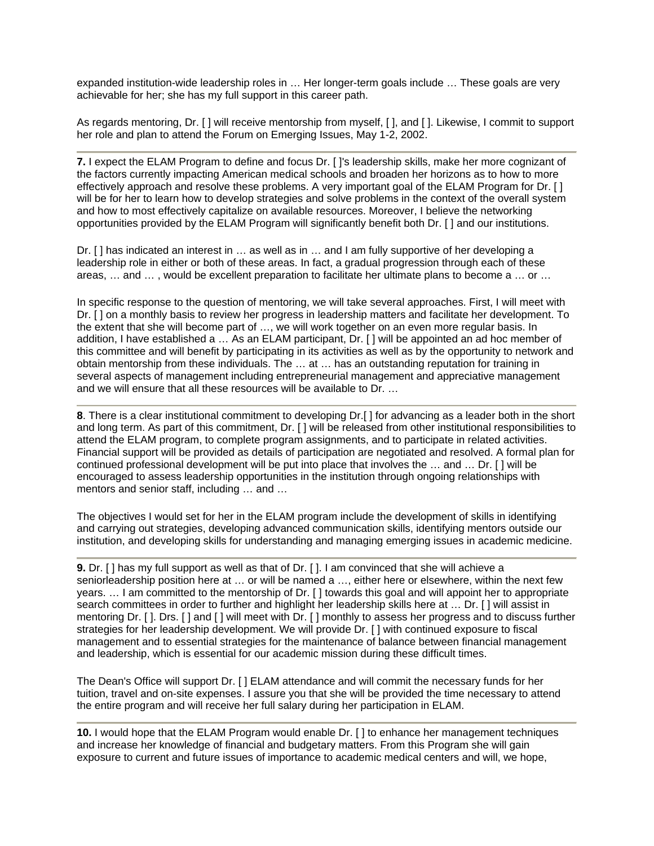expanded institution-wide leadership roles in … Her longer-term goals include … These goals are very achievable for her; she has my full support in this career path.

As regards mentoring, Dr. [ ] will receive mentorship from myself, [ ], and [ ]. Likewise, I commit to support her role and plan to attend the Forum on Emerging Issues, May 1-2, 2002.

**7.** I expect the ELAM Program to define and focus Dr. [ ]'s leadership skills, make her more cognizant of the factors currently impacting American medical schools and broaden her horizons as to how to more effectively approach and resolve these problems. A very important goal of the ELAM Program for Dr. [ ] will be for her to learn how to develop strategies and solve problems in the context of the overall system and how to most effectively capitalize on available resources. Moreover, I believe the networking opportunities provided by the ELAM Program will significantly benefit both Dr. [ ] and our institutions.

Dr. [ ] has indicated an interest in … as well as in … and I am fully supportive of her developing a leadership role in either or both of these areas. In fact, a gradual progression through each of these areas, … and … , would be excellent preparation to facilitate her ultimate plans to become a … or …

In specific response to the question of mentoring, we will take several approaches. First, I will meet with Dr. [ ] on a monthly basis to review her progress in leadership matters and facilitate her development. To the extent that she will become part of …, we will work together on an even more regular basis. In addition, I have established a … As an ELAM participant, Dr. [ ] will be appointed an ad hoc member of this committee and will benefit by participating in its activities as well as by the opportunity to network and obtain mentorship from these individuals. The … at … has an outstanding reputation for training in several aspects of management including entrepreneurial management and appreciative management and we will ensure that all these resources will be available to Dr. …

**8**. There is a clear institutional commitment to developing Dr.[ ] for advancing as a leader both in the short and long term. As part of this commitment, Dr. [ ] will be released from other institutional responsibilities to attend the ELAM program, to complete program assignments, and to participate in related activities. Financial support will be provided as details of participation are negotiated and resolved. A formal plan for continued professional development will be put into place that involves the … and … Dr. [ ] will be encouraged to assess leadership opportunities in the institution through ongoing relationships with mentors and senior staff, including … and …

The objectives I would set for her in the ELAM program include the development of skills in identifying and carrying out strategies, developing advanced communication skills, identifying mentors outside our institution, and developing skills for understanding and managing emerging issues in academic medicine.

**9.** Dr. [ ] has my full support as well as that of Dr. [ ]. I am convinced that she will achieve a seniorleadership position here at ... or will be named a ..., either here or elsewhere, within the next few years. … I am committed to the mentorship of Dr. [ ] towards this goal and will appoint her to appropriate search committees in order to further and highlight her leadership skills here at ... Dr. [ ] will assist in mentoring Dr. [ ]. Drs. [ ] and [ ] will meet with Dr. [ ] monthly to assess her progress and to discuss further strategies for her leadership development. We will provide Dr. [ ] with continued exposure to fiscal management and to essential strategies for the maintenance of balance between financial management and leadership, which is essential for our academic mission during these difficult times.

The Dean's Office will support Dr. [ ] ELAM attendance and will commit the necessary funds for her tuition, travel and on-site expenses. I assure you that she will be provided the time necessary to attend the entire program and will receive her full salary during her participation in ELAM.

**10.** I would hope that the ELAM Program would enable Dr. [ ] to enhance her management techniques and increase her knowledge of financial and budgetary matters. From this Program she will gain exposure to current and future issues of importance to academic medical centers and will, we hope,